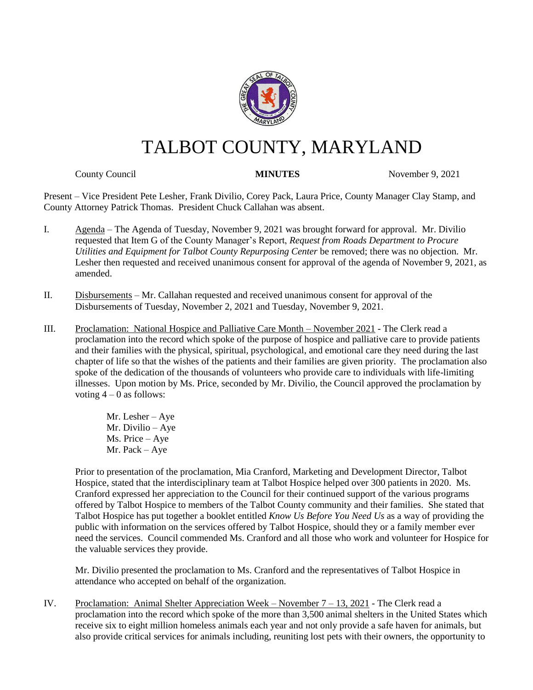

# TALBOT COUNTY, MARYLAND

County Council **MINUTES** November 9, 2021

Present – Vice President Pete Lesher, Frank Divilio, Corey Pack, Laura Price, County Manager Clay Stamp, and County Attorney Patrick Thomas. President Chuck Callahan was absent.

- I. Agenda The Agenda of Tuesday, November 9, 2021 was brought forward for approval. Mr. Divilio requested that Item G of the County Manager's Report, *Request from Roads Department to Procure Utilities and Equipment for Talbot County Repurposing Center* be removed; there was no objection. Mr. Lesher then requested and received unanimous consent for approval of the agenda of November 9, 2021, as amended.
- II. Disbursements Mr. Callahan requested and received unanimous consent for approval of the Disbursements of Tuesday, November 2, 2021 and Tuesday, November 9, 2021.
- III. Proclamation: National Hospice and Palliative Care Month November 2021 The Clerk read a proclamation into the record which spoke of the purpose of hospice and palliative care to provide patients and their families with the physical, spiritual, psychological, and emotional care they need during the last chapter of life so that the wishes of the patients and their families are given priority. The proclamation also spoke of the dedication of the thousands of volunteers who provide care to individuals with life-limiting illnesses. Upon motion by Ms. Price, seconded by Mr. Divilio, the Council approved the proclamation by voting  $4 - 0$  as follows:
	- Mr. Lesher Aye Mr. Divilio – Aye Ms. Price – Aye Mr. Pack – Aye

Prior to presentation of the proclamation, Mia Cranford, Marketing and Development Director, Talbot Hospice, stated that the interdisciplinary team at Talbot Hospice helped over 300 patients in 2020. Ms. Cranford expressed her appreciation to the Council for their continued support of the various programs offered by Talbot Hospice to members of the Talbot County community and their families. She stated that Talbot Hospice has put together a booklet entitled *Know Us Before You Need Us* as a way of providing the public with information on the services offered by Talbot Hospice, should they or a family member ever need the services. Council commended Ms. Cranford and all those who work and volunteer for Hospice for the valuable services they provide.

Mr. Divilio presented the proclamation to Ms. Cranford and the representatives of Talbot Hospice in attendance who accepted on behalf of the organization.

IV. Proclamation: Animal Shelter Appreciation Week – November 7 – 13, 2021 - The Clerk read a proclamation into the record which spoke of the more than 3,500 animal shelters in the United States which receive six to eight million homeless animals each year and not only provide a safe haven for animals, but also provide critical services for animals including, reuniting lost pets with their owners, the opportunity to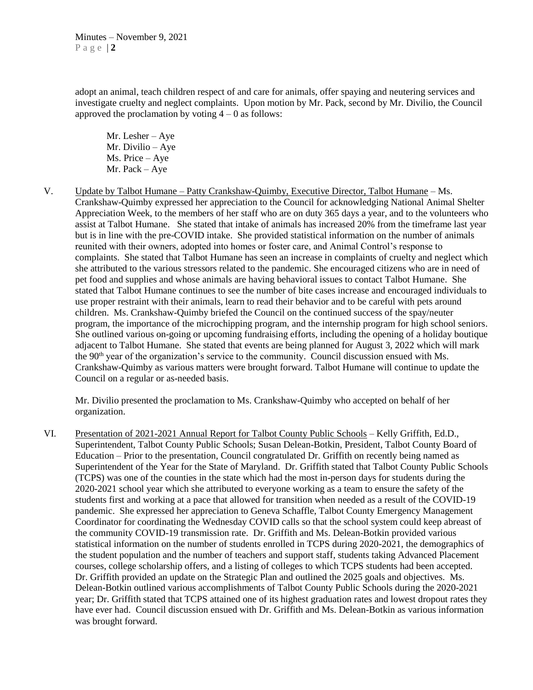adopt an animal, teach children respect of and care for animals, offer spaying and neutering services and investigate cruelty and neglect complaints. Upon motion by Mr. Pack, second by Mr. Divilio, the Council approved the proclamation by voting  $4 - 0$  as follows:

Mr. Lesher – Aye Mr. Divilio – Aye Ms. Price – Aye Mr. Pack – Aye

V. Update by Talbot Humane – Patty Crankshaw-Quimby, Executive Director, Talbot Humane – Ms. Crankshaw-Quimby expressed her appreciation to the Council for acknowledging National Animal Shelter Appreciation Week, to the members of her staff who are on duty 365 days a year, and to the volunteers who assist at Talbot Humane. She stated that intake of animals has increased 20% from the timeframe last year but is in line with the pre-COVID intake. She provided statistical information on the number of animals reunited with their owners, adopted into homes or foster care, and Animal Control's response to complaints. She stated that Talbot Humane has seen an increase in complaints of cruelty and neglect which she attributed to the various stressors related to the pandemic. She encouraged citizens who are in need of pet food and supplies and whose animals are having behavioral issues to contact Talbot Humane. She stated that Talbot Humane continues to see the number of bite cases increase and encouraged individuals to use proper restraint with their animals, learn to read their behavior and to be careful with pets around children. Ms. Crankshaw-Quimby briefed the Council on the continued success of the spay/neuter program, the importance of the microchipping program, and the internship program for high school seniors. She outlined various on-going or upcoming fundraising efforts, including the opening of a holiday boutique adjacent to Talbot Humane. She stated that events are being planned for August 3, 2022 which will mark the  $90<sup>th</sup>$  year of the organization's service to the community. Council discussion ensued with Ms. Crankshaw-Quimby as various matters were brought forward. Talbot Humane will continue to update the Council on a regular or as-needed basis.

Mr. Divilio presented the proclamation to Ms. Crankshaw-Quimby who accepted on behalf of her organization.

VI. Presentation of 2021-2021 Annual Report for Talbot County Public Schools – Kelly Griffith, Ed.D., Superintendent, Talbot County Public Schools; Susan Delean-Botkin, President, Talbot County Board of Education – Prior to the presentation, Council congratulated Dr. Griffith on recently being named as Superintendent of the Year for the State of Maryland. Dr. Griffith stated that Talbot County Public Schools (TCPS) was one of the counties in the state which had the most in-person days for students during the 2020-2021 school year which she attributed to everyone working as a team to ensure the safety of the students first and working at a pace that allowed for transition when needed as a result of the COVID-19 pandemic. She expressed her appreciation to Geneva Schaffle, Talbot County Emergency Management Coordinator for coordinating the Wednesday COVID calls so that the school system could keep abreast of the community COVID-19 transmission rate. Dr. Griffith and Ms. Delean-Botkin provided various statistical information on the number of students enrolled in TCPS during 2020-2021, the demographics of the student population and the number of teachers and support staff, students taking Advanced Placement courses, college scholarship offers, and a listing of colleges to which TCPS students had been accepted. Dr. Griffith provided an update on the Strategic Plan and outlined the 2025 goals and objectives. Ms. Delean-Botkin outlined various accomplishments of Talbot County Public Schools during the 2020-2021 year; Dr. Griffith stated that TCPS attained one of its highest graduation rates and lowest dropout rates they have ever had. Council discussion ensued with Dr. Griffith and Ms. Delean-Botkin as various information was brought forward.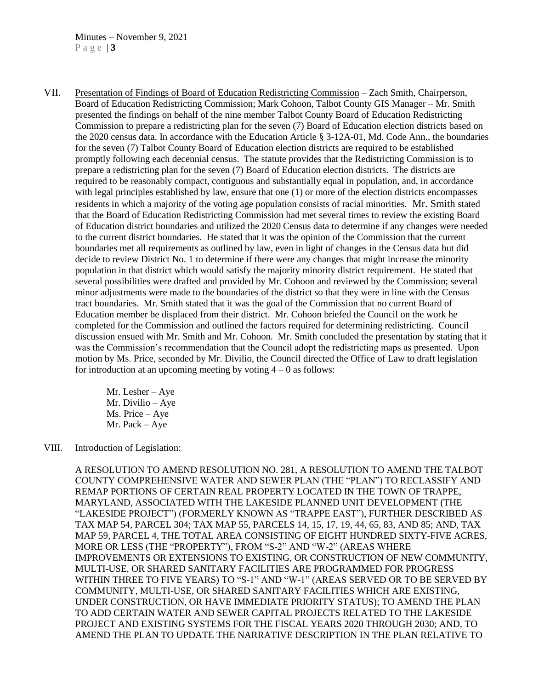VII. Presentation of Findings of Board of Education Redistricting Commission – Zach Smith, Chairperson, Board of Education Redistricting Commission; Mark Cohoon, Talbot County GIS Manager – Mr. Smith presented the findings on behalf of the nine member Talbot County Board of Education Redistricting Commission to prepare a redistricting plan for the seven (7) Board of Education election districts based on the 2020 census data. In accordance with the Education Article § 3-12A-01, Md. Code Ann., the boundaries for the seven (7) Talbot County Board of Education election districts are required to be established promptly following each decennial census. The statute provides that the Redistricting Commission is to prepare a redistricting plan for the seven (7) Board of Education election districts. The districts are required to be reasonably compact, contiguous and substantially equal in population, and, in accordance with legal principles established by law, ensure that one (1) or more of the election districts encompasses residents in which a majority of the voting age population consists of racial minorities. Mr. Smith stated that the Board of Education Redistricting Commission had met several times to review the existing Board of Education district boundaries and utilized the 2020 Census data to determine if any changes were needed to the current district boundaries. He stated that it was the opinion of the Commission that the current boundaries met all requirements as outlined by law, even in light of changes in the Census data but did decide to review District No. 1 to determine if there were any changes that might increase the minority population in that district which would satisfy the majority minority district requirement. He stated that several possibilities were drafted and provided by Mr. Cohoon and reviewed by the Commission; several minor adjustments were made to the boundaries of the district so that they were in line with the Census tract boundaries. Mr. Smith stated that it was the goal of the Commission that no current Board of Education member be displaced from their district. Mr. Cohoon briefed the Council on the work he completed for the Commission and outlined the factors required for determining redistricting. Council discussion ensued with Mr. Smith and Mr. Cohoon. Mr. Smith concluded the presentation by stating that it was the Commission's recommendation that the Council adopt the redistricting maps as presented. Upon motion by Ms. Price, seconded by Mr. Divilio, the Council directed the Office of Law to draft legislation for introduction at an upcoming meeting by voting  $4 - 0$  as follows:

> Mr. Lesher – Aye Mr. Divilio – Aye Ms. Price – Aye Mr. Pack – Aye

### VIII. Introduction of Legislation:

A RESOLUTION TO AMEND RESOLUTION NO. 281, A RESOLUTION TO AMEND THE TALBOT COUNTY COMPREHENSIVE WATER AND SEWER PLAN (THE "PLAN") TO RECLASSIFY AND REMAP PORTIONS OF CERTAIN REAL PROPERTY LOCATED IN THE TOWN OF TRAPPE, MARYLAND, ASSOCIATED WITH THE LAKESIDE PLANNED UNIT DEVELOPMENT (THE "LAKESIDE PROJECT") (FORMERLY KNOWN AS "TRAPPE EAST"), FURTHER DESCRIBED AS TAX MAP 54, PARCEL 304; TAX MAP 55, PARCELS 14, 15, 17, 19, 44, 65, 83, AND 85; AND, TAX MAP 59, PARCEL 4, THE TOTAL AREA CONSISTING OF EIGHT HUNDRED SIXTY-FIVE ACRES, MORE OR LESS (THE "PROPERTY"), FROM "S-2" AND "W-2" (AREAS WHERE IMPROVEMENTS OR EXTENSIONS TO EXISTING, OR CONSTRUCTION OF NEW COMMUNITY, MULTI-USE, OR SHARED SANITARY FACILITIES ARE PROGRAMMED FOR PROGRESS WITHIN THREE TO FIVE YEARS) TO "S-1" AND "W-1" (AREAS SERVED OR TO BE SERVED BY COMMUNITY, MULTI-USE, OR SHARED SANITARY FACILITIES WHICH ARE EXISTING, UNDER CONSTRUCTION, OR HAVE IMMEDIATE PRIORITY STATUS); TO AMEND THE PLAN TO ADD CERTAIN WATER AND SEWER CAPITAL PROJECTS RELATED TO THE LAKESIDE PROJECT AND EXISTING SYSTEMS FOR THE FISCAL YEARS 2020 THROUGH 2030; AND, TO AMEND THE PLAN TO UPDATE THE NARRATIVE DESCRIPTION IN THE PLAN RELATIVE TO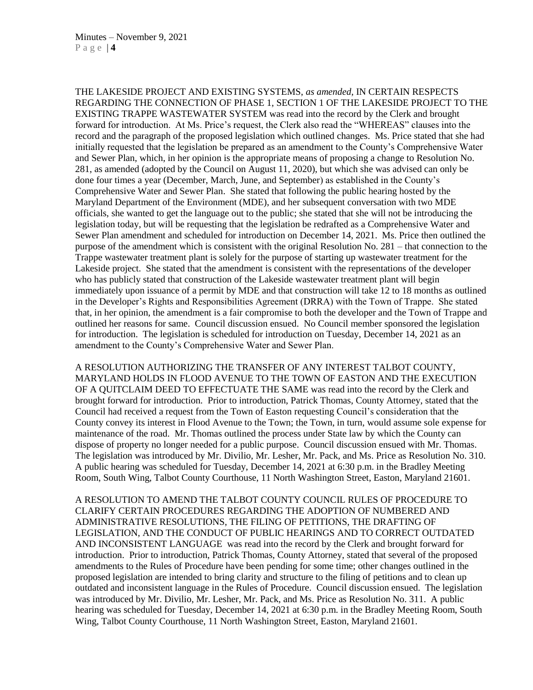THE LAKESIDE PROJECT AND EXISTING SYSTEMS, *as amended*, IN CERTAIN RESPECTS REGARDING THE CONNECTION OF PHASE 1, SECTION 1 OF THE LAKESIDE PROJECT TO THE EXISTING TRAPPE WASTEWATER SYSTEM was read into the record by the Clerk and brought forward for introduction. At Ms. Price's request, the Clerk also read the "WHEREAS" clauses into the record and the paragraph of the proposed legislation which outlined changes. Ms. Price stated that she had initially requested that the legislation be prepared as an amendment to the County's Comprehensive Water and Sewer Plan, which, in her opinion is the appropriate means of proposing a change to Resolution No. 281, as amended (adopted by the Council on August 11, 2020), but which she was advised can only be done four times a year (December, March, June, and September) as established in the County's Comprehensive Water and Sewer Plan. She stated that following the public hearing hosted by the Maryland Department of the Environment (MDE), and her subsequent conversation with two MDE officials, she wanted to get the language out to the public; she stated that she will not be introducing the legislation today, but will be requesting that the legislation be redrafted as a Comprehensive Water and Sewer Plan amendment and scheduled for introduction on December 14, 2021. Ms. Price then outlined the purpose of the amendment which is consistent with the original Resolution No. 281 – that connection to the Trappe wastewater treatment plant is solely for the purpose of starting up wastewater treatment for the Lakeside project. She stated that the amendment is consistent with the representations of the developer who has publicly stated that construction of the Lakeside wastewater treatment plant will begin immediately upon issuance of a permit by MDE and that construction will take 12 to 18 months as outlined in the Developer's Rights and Responsibilities Agreement (DRRA) with the Town of Trappe. She stated that, in her opinion, the amendment is a fair compromise to both the developer and the Town of Trappe and outlined her reasons for same. Council discussion ensued. No Council member sponsored the legislation for introduction. The legislation is scheduled for introduction on Tuesday, December 14, 2021 as an amendment to the County's Comprehensive Water and Sewer Plan.

A RESOLUTION AUTHORIZING THE TRANSFER OF ANY INTEREST TALBOT COUNTY, MARYLAND HOLDS IN FLOOD AVENUE TO THE TOWN OF EASTON AND THE EXECUTION OF A QUITCLAIM DEED TO EFFECTUATE THE SAME was read into the record by the Clerk and brought forward for introduction. Prior to introduction, Patrick Thomas, County Attorney, stated that the Council had received a request from the Town of Easton requesting Council's consideration that the County convey its interest in Flood Avenue to the Town; the Town, in turn, would assume sole expense for maintenance of the road. Mr. Thomas outlined the process under State law by which the County can dispose of property no longer needed for a public purpose. Council discussion ensued with Mr. Thomas. The legislation was introduced by Mr. Divilio, Mr. Lesher, Mr. Pack, and Ms. Price as Resolution No. 310. A public hearing was scheduled for Tuesday, December 14, 2021 at 6:30 p.m. in the Bradley Meeting Room, South Wing, Talbot County Courthouse, 11 North Washington Street, Easton, Maryland 21601.

A RESOLUTION TO AMEND THE TALBOT COUNTY COUNCIL RULES OF PROCEDURE TO CLARIFY CERTAIN PROCEDURES REGARDING THE ADOPTION OF NUMBERED AND ADMINISTRATIVE RESOLUTIONS, THE FILING OF PETITIONS, THE DRAFTING OF LEGISLATION, AND THE CONDUCT OF PUBLIC HEARINGS AND TO CORRECT OUTDATED AND INCONSISTENT LANGUAGE was read into the record by the Clerk and brought forward for introduction. Prior to introduction, Patrick Thomas, County Attorney, stated that several of the proposed amendments to the Rules of Procedure have been pending for some time; other changes outlined in the proposed legislation are intended to bring clarity and structure to the filing of petitions and to clean up outdated and inconsistent language in the Rules of Procedure. Council discussion ensued. The legislation was introduced by Mr. Divilio, Mr. Lesher, Mr. Pack, and Ms. Price as Resolution No. 311. A public hearing was scheduled for Tuesday, December 14, 2021 at 6:30 p.m. in the Bradley Meeting Room, South Wing, Talbot County Courthouse, 11 North Washington Street, Easton, Maryland 21601.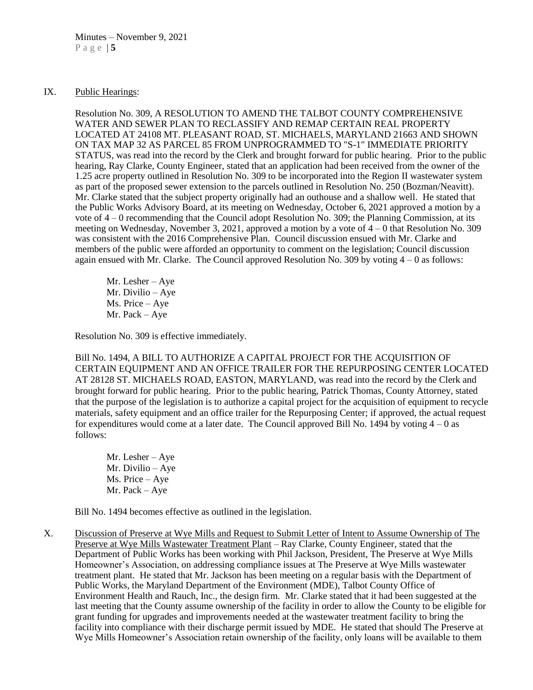### IX. Public Hearings:

Resolution No. 309, A RESOLUTION TO AMEND THE TALBOT COUNTY COMPREHENSIVE WATER AND SEWER PLAN TO RECLASSIFY AND REMAP CERTAIN REAL PROPERTY LOCATED AT 24108 MT. PLEASANT ROAD, ST. MICHAELS, MARYLAND 21663 AND SHOWN ON TAX MAP 32 AS PARCEL 85 FROM UNPROGRAMMED TO "S-1" IMMEDIATE PRIORITY STATUS, was read into the record by the Clerk and brought forward for public hearing. Prior to the public hearing, Ray Clarke, County Engineer, stated that an application had been received from the owner of the 1.25 acre property outlined in Resolution No. 309 to be incorporated into the Region II wastewater system as part of the proposed sewer extension to the parcels outlined in Resolution No. 250 (Bozman/Neavitt). Mr. Clarke stated that the subject property originally had an outhouse and a shallow well. He stated that the Public Works Advisory Board, at its meeting on Wednesday, October 6, 2021 approved a motion by a vote of 4 – 0 recommending that the Council adopt Resolution No. 309; the Planning Commission, at its meeting on Wednesday, November 3, 2021, approved a motion by a vote of 4 – 0 that Resolution No. 309 was consistent with the 2016 Comprehensive Plan. Council discussion ensued with Mr. Clarke and members of the public were afforded an opportunity to comment on the legislation; Council discussion again ensued with Mr. Clarke. The Council approved Resolution No. 309 by voting 4 – 0 as follows:

Mr. Lesher – Aye Mr. Divilio – Aye Ms. Price – Aye Mr. Pack – Aye

Resolution No. 309 is effective immediately.

Bill No. 1494, A BILL TO AUTHORIZE A CAPITAL PROJECT FOR THE ACQUISITION OF CERTAIN EQUIPMENT AND AN OFFICE TRAILER FOR THE REPURPOSING CENTER LOCATED AT 28128 ST. MICHAELS ROAD, EASTON, MARYLAND, was read into the record by the Clerk and brought forward for public hearing. Prior to the public hearing, Patrick Thomas, County Attorney, stated that the purpose of the legislation is to authorize a capital project for the acquisition of equipment to recycle materials, safety equipment and an office trailer for the Repurposing Center; if approved, the actual request for expenditures would come at a later date. The Council approved Bill No. 1494 by voting  $4 - 0$  as follows:

Mr. Lesher – Aye Mr. Divilio – Aye Ms. Price – Aye Mr. Pack – Aye

Bill No. 1494 becomes effective as outlined in the legislation.

X. Discussion of Preserve at Wye Mills and Request to Submit Letter of Intent to Assume Ownership of The Preserve at Wye Mills Wastewater Treatment Plant – Ray Clarke, County Engineer, stated that the Department of Public Works has been working with Phil Jackson, President, The Preserve at Wye Mills Homeowner's Association, on addressing compliance issues at The Preserve at Wye Mills wastewater treatment plant. He stated that Mr. Jackson has been meeting on a regular basis with the Department of Public Works, the Maryland Department of the Environment (MDE), Talbot County Office of Environment Health and Rauch, Inc., the design firm. Mr. Clarke stated that it had been suggested at the last meeting that the County assume ownership of the facility in order to allow the County to be eligible for grant funding for upgrades and improvements needed at the wastewater treatment facility to bring the facility into compliance with their discharge permit issued by MDE. He stated that should The Preserve at Wye Mills Homeowner's Association retain ownership of the facility, only loans will be available to them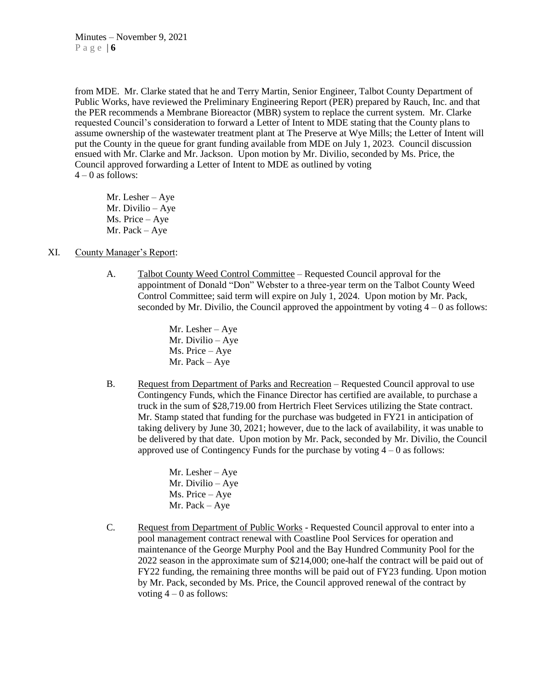from MDE. Mr. Clarke stated that he and Terry Martin, Senior Engineer, Talbot County Department of Public Works, have reviewed the Preliminary Engineering Report (PER) prepared by Rauch, Inc. and that the PER recommends a Membrane Bioreactor (MBR) system to replace the current system. Mr. Clarke requested Council's consideration to forward a Letter of Intent to MDE stating that the County plans to assume ownership of the wastewater treatment plant at The Preserve at Wye Mills; the Letter of Intent will put the County in the queue for grant funding available from MDE on July 1, 2023. Council discussion ensued with Mr. Clarke and Mr. Jackson. Upon motion by Mr. Divilio, seconded by Ms. Price, the Council approved forwarding a Letter of Intent to MDE as outlined by voting  $4 - 0$  as follows:

Mr. Lesher – Aye Mr. Divilio – Aye Ms. Price – Aye Mr. Pack – Aye

## XI. County Manager's Report:

A. Talbot County Weed Control Committee – Requested Council approval for the appointment of Donald "Don" Webster to a three-year term on the Talbot County Weed Control Committee; said term will expire on July 1, 2024. Upon motion by Mr. Pack, seconded by Mr. Divilio, the Council approved the appointment by voting  $4 - 0$  as follows:

> Mr. Lesher – Aye Mr. Divilio – Aye Ms. Price – Aye Mr. Pack – Aye

B. Request from Department of Parks and Recreation – Requested Council approval to use Contingency Funds, which the Finance Director has certified are available, to purchase a truck in the sum of \$28,719.00 from Hertrich Fleet Services utilizing the State contract. Mr. Stamp stated that funding for the purchase was budgeted in FY21 in anticipation of taking delivery by June 30, 2021; however, due to the lack of availability, it was unable to be delivered by that date. Upon motion by Mr. Pack, seconded by Mr. Divilio, the Council approved use of Contingency Funds for the purchase by voting  $4 - 0$  as follows:

> Mr. Lesher – Aye Mr. Divilio – Aye Ms. Price – Aye Mr. Pack – Aye

C. Request from Department of Public Works - Requested Council approval to enter into a pool management contract renewal with Coastline Pool Services for operation and maintenance of the George Murphy Pool and the Bay Hundred Community Pool for the 2022 season in the approximate sum of \$214,000; one-half the contract will be paid out of FY22 funding, the remaining three months will be paid out of FY23 funding. Upon motion by Mr. Pack, seconded by Ms. Price, the Council approved renewal of the contract by voting  $4 - 0$  as follows: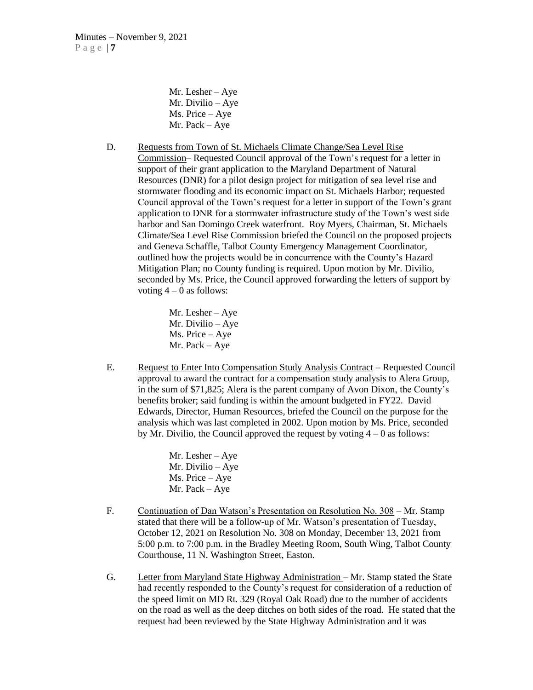Mr. Lesher – Aye Mr. Divilio – Aye Ms. Price – Aye Mr. Pack – Aye

D. Requests from Town of St. Michaels Climate Change/Sea Level Rise Commission– Requested Council approval of the Town's request for a letter in support of their grant application to the Maryland Department of Natural Resources (DNR) for a pilot design project for mitigation of sea level rise and stormwater flooding and its economic impact on St. Michaels Harbor; requested Council approval of the Town's request for a letter in support of the Town's grant application to DNR for a stormwater infrastructure study of the Town's west side harbor and San Domingo Creek waterfront. Roy Myers, Chairman, St. Michaels Climate/Sea Level Rise Commission briefed the Council on the proposed projects and Geneva Schaffle, Talbot County Emergency Management Coordinator, outlined how the projects would be in concurrence with the County's Hazard Mitigation Plan; no County funding is required. Upon motion by Mr. Divilio, seconded by Ms. Price, the Council approved forwarding the letters of support by voting  $4 - 0$  as follows:

> Mr. Lesher – Aye Mr. Divilio – Aye Ms. Price – Aye Mr. Pack – Aye

E. Request to Enter Into Compensation Study Analysis Contract – Requested Council approval to award the contract for a compensation study analysis to Alera Group, in the sum of \$71,825; Alera is the parent company of Avon Dixon, the County's benefits broker; said funding is within the amount budgeted in FY22. David Edwards, Director, Human Resources, briefed the Council on the purpose for the analysis which was last completed in 2002. Upon motion by Ms. Price, seconded by Mr. Divilio, the Council approved the request by voting  $4 - 0$  as follows:

> Mr. Lesher – Aye Mr. Divilio – Aye Ms. Price – Aye Mr. Pack – Aye

- F. Continuation of Dan Watson's Presentation on Resolution No. 308 Mr. Stamp stated that there will be a follow-up of Mr. Watson's presentation of Tuesday, October 12, 2021 on Resolution No. 308 on Monday, December 13, 2021 from 5:00 p.m. to 7:00 p.m. in the Bradley Meeting Room, South Wing, Talbot County Courthouse, 11 N. Washington Street, Easton.
- G. Letter from Maryland State Highway Administration Mr. Stamp stated the State had recently responded to the County's request for consideration of a reduction of the speed limit on MD Rt. 329 (Royal Oak Road) due to the number of accidents on the road as well as the deep ditches on both sides of the road. He stated that the request had been reviewed by the State Highway Administration and it was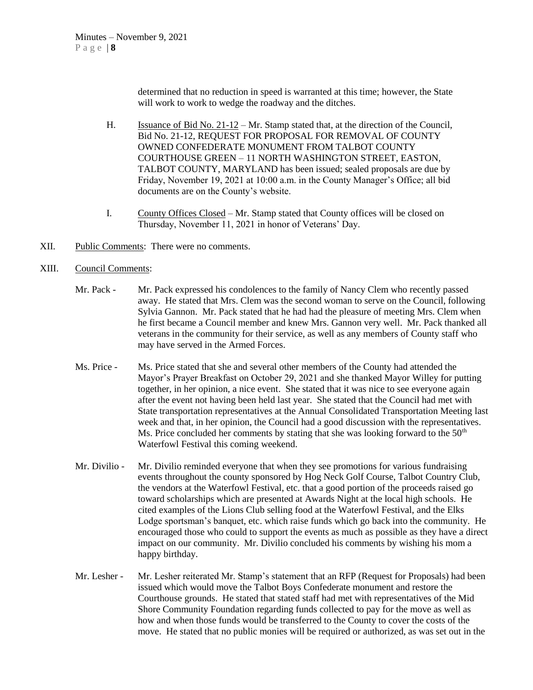determined that no reduction in speed is warranted at this time; however, the State will work to work to wedge the roadway and the ditches.

- H. Issuance of Bid No. 21-12 Mr. Stamp stated that, at the direction of the Council, Bid No. 21-12, REQUEST FOR PROPOSAL FOR REMOVAL OF COUNTY OWNED CONFEDERATE MONUMENT FROM TALBOT COUNTY COURTHOUSE GREEN – 11 NORTH WASHINGTON STREET, EASTON, TALBOT COUNTY, MARYLAND has been issued; sealed proposals are due by Friday, November 19, 2021 at 10:00 a.m. in the County Manager's Office; all bid documents are on the County's website.
- I. County Offices Closed Mr. Stamp stated that County offices will be closed on Thursday, November 11, 2021 in honor of Veterans' Day.
- XII. Public Comments: There were no comments.
- XIII. Council Comments:
	- Mr. Pack Mr. Pack expressed his condolences to the family of Nancy Clem who recently passed away. He stated that Mrs. Clem was the second woman to serve on the Council, following Sylvia Gannon. Mr. Pack stated that he had had the pleasure of meeting Mrs. Clem when he first became a Council member and knew Mrs. Gannon very well. Mr. Pack thanked all veterans in the community for their service, as well as any members of County staff who may have served in the Armed Forces.
	- Ms. Price Ms. Price stated that she and several other members of the County had attended the Mayor's Prayer Breakfast on October 29, 2021 and she thanked Mayor Willey for putting together, in her opinion, a nice event. She stated that it was nice to see everyone again after the event not having been held last year. She stated that the Council had met with State transportation representatives at the Annual Consolidated Transportation Meeting last week and that, in her opinion, the Council had a good discussion with the representatives. Ms. Price concluded her comments by stating that she was looking forward to the  $50<sup>th</sup>$ Waterfowl Festival this coming weekend.
	- Mr. Divilio Mr. Divilio reminded everyone that when they see promotions for various fundraising events throughout the county sponsored by Hog Neck Golf Course, Talbot Country Club, the vendors at the Waterfowl Festival, etc. that a good portion of the proceeds raised go toward scholarships which are presented at Awards Night at the local high schools. He cited examples of the Lions Club selling food at the Waterfowl Festival, and the Elks Lodge sportsman's banquet, etc. which raise funds which go back into the community. He encouraged those who could to support the events as much as possible as they have a direct impact on our community. Mr. Divilio concluded his comments by wishing his mom a happy birthday.
	- Mr. Lesher Mr. Lesher reiterated Mr. Stamp's statement that an RFP (Request for Proposals) had been issued which would move the Talbot Boys Confederate monument and restore the Courthouse grounds. He stated that stated staff had met with representatives of the Mid Shore Community Foundation regarding funds collected to pay for the move as well as how and when those funds would be transferred to the County to cover the costs of the move. He stated that no public monies will be required or authorized, as was set out in the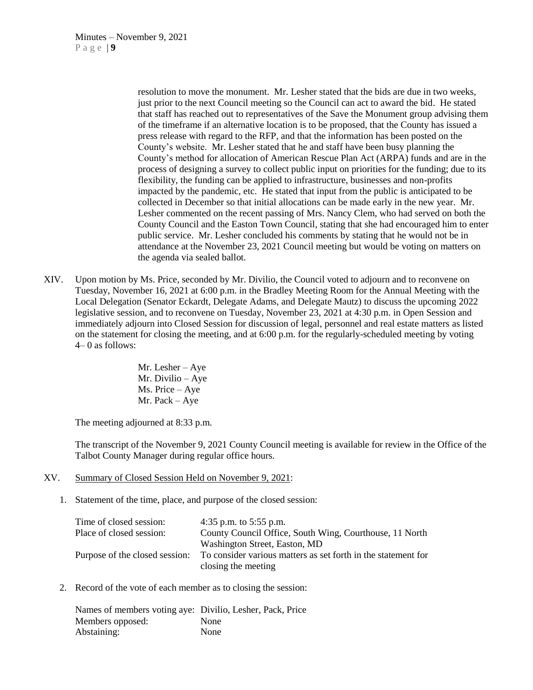resolution to move the monument. Mr. Lesher stated that the bids are due in two weeks, just prior to the next Council meeting so the Council can act to award the bid. He stated that staff has reached out to representatives of the Save the Monument group advising them of the timeframe if an alternative location is to be proposed, that the County has issued a press release with regard to the RFP, and that the information has been posted on the County's website. Mr. Lesher stated that he and staff have been busy planning the County's method for allocation of American Rescue Plan Act (ARPA) funds and are in the process of designing a survey to collect public input on priorities for the funding; due to its flexibility, the funding can be applied to infrastructure, businesses and non-profits impacted by the pandemic, etc. He stated that input from the public is anticipated to be collected in December so that initial allocations can be made early in the new year. Mr. Lesher commented on the recent passing of Mrs. Nancy Clem, who had served on both the County Council and the Easton Town Council, stating that she had encouraged him to enter public service. Mr. Lesher concluded his comments by stating that he would not be in attendance at the November 23, 2021 Council meeting but would be voting on matters on the agenda via sealed ballot.

XIV. Upon motion by Ms. Price, seconded by Mr. Divilio, the Council voted to adjourn and to reconvene on Tuesday, November 16, 2021 at 6:00 p.m. in the Bradley Meeting Room for the Annual Meeting with the Local Delegation (Senator Eckardt, Delegate Adams, and Delegate Mautz) to discuss the upcoming 2022 legislative session, and to reconvene on Tuesday, November 23, 2021 at 4:30 p.m. in Open Session and immediately adjourn into Closed Session for discussion of legal, personnel and real estate matters as listed on the statement for closing the meeting, and at 6:00 p.m. for the regularly-scheduled meeting by voting 4– 0 as follows:

> Mr. Lesher – Aye Mr. Divilio – Aye Ms. Price – Aye Mr. Pack – Aye

The meeting adjourned at 8:33 p.m.

The transcript of the November 9, 2021 County Council meeting is available for review in the Office of the Talbot County Manager during regular office hours.

#### XV. Summary of Closed Session Held on November 9, 2021:

1. Statement of the time, place, and purpose of the closed session:

| Time of closed session:        | 4:35 p.m. to $5:55$ p.m.                                      |
|--------------------------------|---------------------------------------------------------------|
| Place of closed session:       | County Council Office, South Wing, Courthouse, 11 North       |
|                                | Washington Street, Easton, MD                                 |
| Purpose of the closed session: | To consider various matters as set forth in the statement for |
|                                | closing the meeting                                           |

2. Record of the vote of each member as to closing the session:

Names of members voting aye: Divilio, Lesher, Pack, Price Members opposed: None Abstaining: None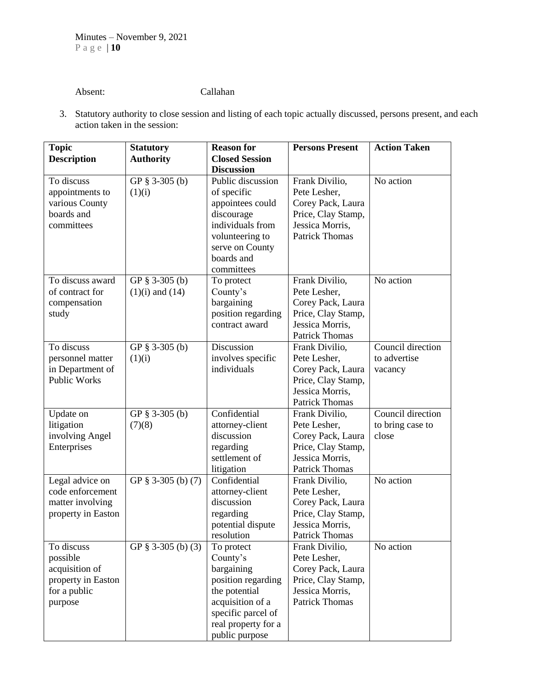# Absent: Callahan

3. Statutory authority to close session and listing of each topic actually discussed, persons present, and each action taken in the session:

| <b>Topic</b>                                                                              | <b>Statutory</b>                      | <b>Reason for</b>                                                                                                                                              | <b>Persons Present</b>                                                                                                | <b>Action Taken</b>                            |
|-------------------------------------------------------------------------------------------|---------------------------------------|----------------------------------------------------------------------------------------------------------------------------------------------------------------|-----------------------------------------------------------------------------------------------------------------------|------------------------------------------------|
| <b>Description</b>                                                                        | <b>Authority</b>                      | <b>Closed Session</b>                                                                                                                                          |                                                                                                                       |                                                |
|                                                                                           |                                       | <b>Discussion</b>                                                                                                                                              |                                                                                                                       |                                                |
| To discuss<br>appointments to<br>various County<br>boards and<br>committees               | GP § 3-305 (b)<br>(1)(i)              | Public discussion<br>of specific<br>appointees could<br>discourage<br>individuals from<br>volunteering to<br>serve on County<br>boards and<br>committees       | Frank Divilio,<br>Pete Lesher,<br>Corey Pack, Laura<br>Price, Clay Stamp,<br>Jessica Morris,<br><b>Patrick Thomas</b> | No action                                      |
| To discuss award<br>of contract for<br>compensation<br>study                              | GP § 3-305 (b)<br>$(1)(i)$ and $(14)$ | To protect<br>County's<br>bargaining<br>position regarding<br>contract award                                                                                   | Frank Divilio,<br>Pete Lesher,<br>Corey Pack, Laura<br>Price, Clay Stamp,<br>Jessica Morris,<br><b>Patrick Thomas</b> | No action                                      |
| To discuss<br>personnel matter<br>in Department of<br><b>Public Works</b>                 | GP § 3-305 (b)<br>(1)(i)              | Discussion<br>involves specific<br>individuals                                                                                                                 | Frank Divilio,<br>Pete Lesher,<br>Corey Pack, Laura<br>Price, Clay Stamp,<br>Jessica Morris,<br><b>Patrick Thomas</b> | Council direction<br>to advertise<br>vacancy   |
| Update on<br>litigation<br>involving Angel<br>Enterprises                                 | GP § 3-305 (b)<br>(7)(8)              | Confidential<br>attorney-client<br>discussion<br>regarding<br>settlement of<br>litigation                                                                      | Frank Divilio,<br>Pete Lesher,<br>Corey Pack, Laura<br>Price, Clay Stamp,<br>Jessica Morris,<br><b>Patrick Thomas</b> | Council direction<br>to bring case to<br>close |
| Legal advice on<br>code enforcement<br>matter involving<br>property in Easton             | GP § 3-305 (b) (7)                    | Confidential<br>attorney-client<br>discussion<br>regarding<br>potential dispute<br>resolution                                                                  | Frank Divilio,<br>Pete Lesher,<br>Corey Pack, Laura<br>Price, Clay Stamp,<br>Jessica Morris,<br><b>Patrick Thomas</b> | No action                                      |
| To discuss<br>possible<br>acquisition of<br>property in Easton<br>for a public<br>purpose | GP $§$ 3-305 (b) (3)                  | To protect<br>County's<br>bargaining<br>position regarding<br>the potential<br>acquisition of a<br>specific parcel of<br>real property for a<br>public purpose | Frank Divilio,<br>Pete Lesher,<br>Corey Pack, Laura<br>Price, Clay Stamp,<br>Jessica Morris,<br><b>Patrick Thomas</b> | No action                                      |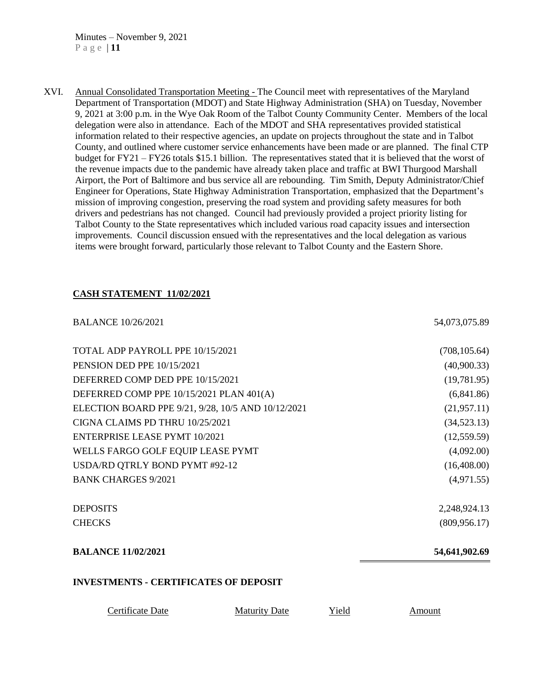Minutes – November 9, 2021 P a g e | **11**

XVI. Annual Consolidated Transportation Meeting - The Council meet with representatives of the Maryland Department of Transportation (MDOT) and State Highway Administration (SHA) on Tuesday, November 9, 2021 at 3:00 p.m. in the Wye Oak Room of the Talbot County Community Center. Members of the local delegation were also in attendance. Each of the MDOT and SHA representatives provided statistical information related to their respective agencies, an update on projects throughout the state and in Talbot County, and outlined where customer service enhancements have been made or are planned. The final CTP budget for FY21 – FY26 totals \$15.1 billion. The representatives stated that it is believed that the worst of the revenue impacts due to the pandemic have already taken place and traffic at BWI Thurgood Marshall Airport, the Port of Baltimore and bus service all are rebounding. Tim Smith, Deputy Administrator/Chief Engineer for Operations, State Highway Administration Transportation, emphasized that the Department's mission of improving congestion, preserving the road system and providing safety measures for both drivers and pedestrians has not changed. Council had previously provided a project priority listing for Talbot County to the State representatives which included various road capacity issues and intersection improvements. Council discussion ensued with the representatives and the local delegation as various items were brought forward, particularly those relevant to Talbot County and the Eastern Shore.

# **CASH STATEMENT 11/02/2021**

| <b>BALANCE 10/26/2021</b>                          |                      |       | 54,073,075.89 |  |
|----------------------------------------------------|----------------------|-------|---------------|--|
| TOTAL ADP PAYROLL PPE 10/15/2021                   |                      |       | (708, 105.64) |  |
| PENSION DED PPE 10/15/2021                         |                      |       | (40,900.33)   |  |
| DEFERRED COMP DED PPE 10/15/2021                   |                      |       | (19,781.95)   |  |
| DEFERRED COMP PPE 10/15/2021 PLAN 401(A)           |                      |       | (6,841.86)    |  |
| ELECTION BOARD PPE 9/21, 9/28, 10/5 AND 10/12/2021 |                      |       | (21, 957.11)  |  |
| CIGNA CLAIMS PD THRU 10/25/2021                    |                      |       | (34,523.13)   |  |
| <b>ENTERPRISE LEASE PYMT 10/2021</b>               |                      |       | (12, 559.59)  |  |
| WELLS FARGO GOLF EQUIP LEASE PYMT                  |                      |       | (4,092.00)    |  |
| USDA/RD QTRLY BOND PYMT #92-12                     |                      |       | (16,408.00)   |  |
| <b>BANK CHARGES 9/2021</b>                         |                      |       | (4,971.55)    |  |
| <b>DEPOSITS</b>                                    |                      |       | 2,248,924.13  |  |
| <b>CHECKS</b>                                      |                      |       | (809, 956.17) |  |
| <b>BALANCE 11/02/2021</b>                          |                      |       | 54,641,902.69 |  |
| <b>INVESTMENTS - CERTIFICATES OF DEPOSIT</b>       |                      |       |               |  |
| <b>Certificate Date</b>                            | <b>Maturity Date</b> | Yield | <b>Amount</b> |  |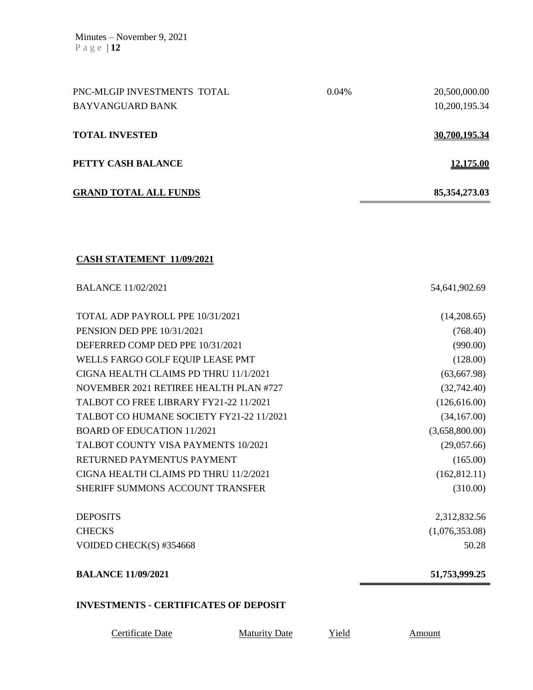| PNC-MLGIP INVESTMENTS TOTAL                  | 0.04% | 20,500,000.00    |
|----------------------------------------------|-------|------------------|
| <b>BAYVANGUARD BANK</b>                      |       | 10,200,195.34    |
| <b>TOTAL INVESTED</b>                        |       | 30,700,195.34    |
| PETTY CASH BALANCE                           |       | <u>12,175.00</u> |
| <b>GRAND TOTAL ALL FUNDS</b>                 |       | 85, 354, 273. 03 |
|                                              |       |                  |
| <b>CASH STATEMENT 11/09/2021</b>             |       |                  |
| <b>BALANCE 11/02/2021</b>                    |       | 54,641,902.69    |
| TOTAL ADP PAYROLL PPE 10/31/2021             |       | (14,208.65)      |
| PENSION DED PPE 10/31/2021                   |       | (768.40)         |
| DEFERRED COMP DED PPE 10/31/2021             |       | (990.00)         |
| WELLS FARGO GOLF EQUIP LEASE PMT             |       | (128.00)         |
| CIGNA HEALTH CLAIMS PD THRU 11/1/2021        |       | (63, 667.98)     |
| NOVEMBER 2021 RETIREE HEALTH PLAN #727       |       | (32,742.40)      |
| TALBOT CO FREE LIBRARY FY21-22 11/2021       |       | (126, 616.00)    |
| TALBOT CO HUMANE SOCIETY FY21-22 11/2021     |       | (34,167.00)      |
| <b>BOARD OF EDUCATION 11/2021</b>            |       | (3,658,800.00)   |
| TALBOT COUNTY VISA PAYMENTS 10/2021          |       | (29,057.66)      |
| RETURNED PAYMENTUS PAYMENT                   |       | (165.00)         |
| CIGNA HEALTH CLAIMS PD THRU 11/2/2021        |       | (162, 812.11)    |
| SHERIFF SUMMONS ACCOUNT TRANSFER             |       | (310.00)         |
| <b>DEPOSITS</b>                              |       | 2,312,832.56     |
| <b>CHECKS</b>                                |       | (1,076,353.08)   |
| VOIDED CHECK(S) #354668                      |       | 50.28            |
| <b>BALANCE 11/09/2021</b>                    |       | 51,753,999.25    |
| <b>INVESTMENTS - CERTIFICATES OF DEPOSIT</b> |       |                  |

Certificate Date Maturity Date Yield Amount